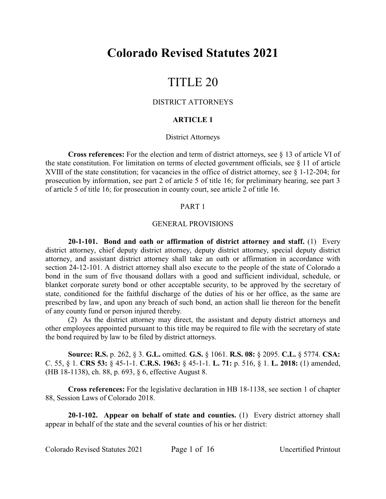## **Colorado Revised Statutes 2021**

# TITLE 20

## DISTRICT ATTORNEYS

## **ARTICLE 1**

## District Attorneys

**Cross references:** For the election and term of district attorneys, see § 13 of article VI of the state constitution. For limitation on terms of elected government officials, see § 11 of article XVIII of the state constitution; for vacancies in the office of district attorney, see § 1-12-204; for prosecution by information, see part 2 of article 5 of title 16; for preliminary hearing, see part 3 of article 5 of title 16; for prosecution in county court, see article 2 of title 16.

## PART 1

#### GENERAL PROVISIONS

**20-1-101. Bond and oath or affirmation of district attorney and staff.** (1) Every district attorney, chief deputy district attorney, deputy district attorney, special deputy district attorney, and assistant district attorney shall take an oath or affirmation in accordance with section 24-12-101. A district attorney shall also execute to the people of the state of Colorado a bond in the sum of five thousand dollars with a good and sufficient individual, schedule, or blanket corporate surety bond or other acceptable security, to be approved by the secretary of state, conditioned for the faithful discharge of the duties of his or her office, as the same are prescribed by law, and upon any breach of such bond, an action shall lie thereon for the benefit of any county fund or person injured thereby.

(2) As the district attorney may direct, the assistant and deputy district attorneys and other employees appointed pursuant to this title may be required to file with the secretary of state the bond required by law to be filed by district attorneys.

**Source: R.S.** p. 262, § 3. **G.L.** omitted. **G.S.** § 1061. **R.S. 08:** § 2095. **C.L.** § 5774. **CSA:** C. 55, § 1. **CRS 53:** § 45-1-1. **C.R.S. 1963:** § 45-1-1. **L. 71:** p. 516, § 1. **L. 2018:** (1) amended, (HB 18-1138), ch. 88, p. 693, § 6, effective August 8.

**Cross references:** For the legislative declaration in HB 18-1138, see section 1 of chapter 88, Session Laws of Colorado 2018.

**20-1-102. Appear on behalf of state and counties.** (1) Every district attorney shall appear in behalf of the state and the several counties of his or her district:

Colorado Revised Statutes 2021 Page 1 of 16 Uncertified Printout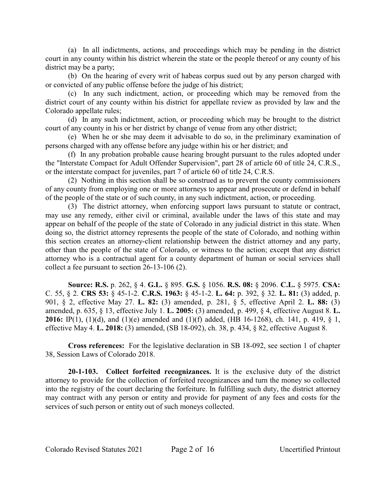(a) In all indictments, actions, and proceedings which may be pending in the district court in any county within his district wherein the state or the people thereof or any county of his district may be a party;

(b) On the hearing of every writ of habeas corpus sued out by any person charged with or convicted of any public offense before the judge of his district;

(c) In any such indictment, action, or proceeding which may be removed from the district court of any county within his district for appellate review as provided by law and the Colorado appellate rules;

(d) In any such indictment, action, or proceeding which may be brought to the district court of any county in his or her district by change of venue from any other district;

(e) When he or she may deem it advisable to do so, in the preliminary examination of persons charged with any offense before any judge within his or her district; and

(f) In any probation probable cause hearing brought pursuant to the rules adopted under the "Interstate Compact for Adult Offender Supervision", part 28 of article 60 of title 24, C.R.S., or the interstate compact for juveniles, part 7 of article 60 of title 24, C.R.S.

(2) Nothing in this section shall be so construed as to prevent the county commissioners of any county from employing one or more attorneys to appear and prosecute or defend in behalf of the people of the state or of such county, in any such indictment, action, or proceeding.

(3) The district attorney, when enforcing support laws pursuant to statute or contract, may use any remedy, either civil or criminal, available under the laws of this state and may appear on behalf of the people of the state of Colorado in any judicial district in this state. When doing so, the district attorney represents the people of the state of Colorado, and nothing within this section creates an attorney-client relationship between the district attorney and any party, other than the people of the state of Colorado, or witness to the action; except that any district attorney who is a contractual agent for a county department of human or social services shall collect a fee pursuant to section 26-13-106 (2).

**Source: R.S.** p. 262, § 4. **G.L.** § 895. **G.S.** § 1056. **R.S. 08:** § 2096. **C.L.** § 5975. **CSA:** C. 55, § 2. **CRS 53:** § 45-1-2. **C.R.S. 1963:** § 45-1-2. **L. 64:** p. 392, § 32. **L. 81:** (3) added, p. 901, § 2, effective May 27. **L. 82:** (3) amended, p. 281, § 5, effective April 2. **L. 88:** (3) amended, p. 635, § 13, effective July 1. **L. 2005:** (3) amended, p. 499, § 4, effective August 8. **L. 2016:** IP(1), (1)(d), and (1)(e) amended and (1)(f) added, (HB 16-1268), ch. 141, p. 419, § 1, effective May 4. **L. 2018:** (3) amended, (SB 18-092), ch. 38, p. 434, § 82, effective August 8.

**Cross references:** For the legislative declaration in SB 18-092, see section 1 of chapter 38, Session Laws of Colorado 2018.

**20-1-103. Collect forfeited recognizances.** It is the exclusive duty of the district attorney to provide for the collection of forfeited recognizances and turn the money so collected into the registry of the court declaring the forfeiture. In fulfilling such duty, the district attorney may contract with any person or entity and provide for payment of any fees and costs for the services of such person or entity out of such moneys collected.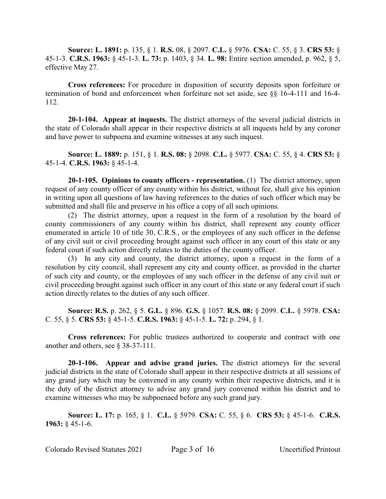**Source: L. 1891:** p. 135, § 1. **R.S.** 08, § 2097. **C.L.** § 5976. **CSA:** C. 55, § 3. **CRS 53:** § 45-1-3. **C.R.S. 1963:** § 45-1-3. **L. 73:** p. 1403, § 34. **L. 98:** Entire section amended, p. 962, § 5, effective May 27.

**Cross references:** For procedure in disposition of security deposits upon forfeiture or termination of bond and enforcement when forfeiture not set aside, see §§ 16-4-111 and 16-4- 112.

**20-1-104. Appear at inquests.** The district attorneys of the several judicial districts in the state of Colorado shall appear in their respective districts at all inquests held by any coroner and have power to subpoena and examine witnesses at any such inquest.

**Source: L. 1889:** p. 151, § 1. **R.S. 08:** § 2098. **C.L.** § 5977. **CSA:** C. 55, § 4. **CRS 53:** § 45-1-4. **C.R.S. 1963:** § 45-1-4.

**20-1-105. Opinions to county officers - representation.** (1) The district attorney, upon request of any county officer of any county within his district, without fee, shall give his opinion in writing upon all questions of law having references to the duties of such officer which may be submitted and shall file and preserve in his office a copy of all such opinions.

(2) The district attorney, upon a request in the form of a resolution by the board of county commissioners of any county within his district, shall represent any county officer enumerated in article 10 of title 30, C.R.S., or the employees of any such officer in the defense of any civil suit or civil proceeding brought against such officer in any court of this state or any federal court if such action directly relates to the duties of the county officer.

(3) In any city and county, the district attorney, upon a request in the form of a resolution by city council, shall represent any city and county officer, as provided in the charter of such city and county, or the employees of any such officer in the defense of any civil suit or civil proceeding brought against such officer in any court of this state or any federal court if such action directly relates to the duties of any such officer.

**Source: R.S.** p. 262, § 5. **G.L.** § 896. **G.S.** § 1057. **R.S. 08:** § 2099. **C.L.** § 5978. **CSA:** C. 55, § 5. **CRS 53:** § 45-1-5. **C.R.S. 1963:** § 45-1-5. **L. 72:** p. 294, § 1.

**Cross references:** For public trustees authorized to cooperate and contract with one another and others, see § 38-37-111.

**20-1-106. Appear and advise grand juries.** The district attorneys for the several judicial districts in the state of Colorado shall appear in their respective districts at all sessions of any grand jury which may be convened in any county within their respective districts, and it is the duty of the district attorney to advise any grand jury convened within his district and to examine witnesses who may be subpoenaed before any such grand jury.

**Source: L. 17:** p. 165, § 1. **C.L.** § 5979. **CSA:** C. 55, § 6. **CRS 53:** § 45-1-6. **C.R.S. 1963:** § 45-1-6.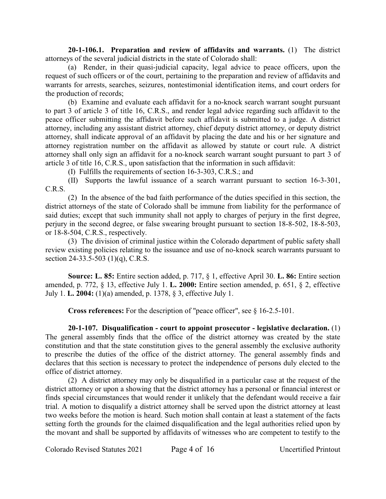**20-1-106.1. Preparation and review of affidavits and warrants.** (1) The district attorneys of the several judicial districts in the state of Colorado shall:

(a) Render, in their quasi-judicial capacity, legal advice to peace officers, upon the request of such officers or of the court, pertaining to the preparation and review of affidavits and warrants for arrests, searches, seizures, nontestimonial identification items, and court orders for the production of records;

(b) Examine and evaluate each affidavit for a no-knock search warrant sought pursuant to part 3 of article 3 of title 16, C.R.S., and render legal advice regarding such affidavit to the peace officer submitting the affidavit before such affidavit is submitted to a judge. A district attorney, including any assistant district attorney, chief deputy district attorney, or deputy district attorney, shall indicate approval of an affidavit by placing the date and his or her signature and attorney registration number on the affidavit as allowed by statute or court rule. A district attorney shall only sign an affidavit for a no-knock search warrant sought pursuant to part 3 of article 3 of title 16, C.R.S., upon satisfaction that the information in such affidavit:

(I) Fulfills the requirements of section 16-3-303, C.R.S.; and

(II) Supports the lawful issuance of a search warrant pursuant to section 16-3-301, C.R.S.

(2) In the absence of the bad faith performance of the duties specified in this section, the district attorneys of the state of Colorado shall be immune from liability for the performance of said duties; except that such immunity shall not apply to charges of perjury in the first degree, perjury in the second degree, or false swearing brought pursuant to section 18-8-502, 18-8-503, or 18-8-504, C.R.S., respectively.

(3) The division of criminal justice within the Colorado department of public safety shall review existing policies relating to the issuance and use of no-knock search warrants pursuant to section 24-33.5-503 (1)(q), C.R.S.

**Source: L. 85:** Entire section added, p. 717, § 1, effective April 30. **L. 86:** Entire section amended, p. 772, § 13, effective July 1. **L. 2000:** Entire section amended, p. 651, § 2, effective July 1. **L. 2004:** (1)(a) amended, p. 1378, § 3, effective July 1.

**Cross references:** For the description of "peace officer", see § 16-2.5-101.

**20-1-107. Disqualification - court to appoint prosecutor - legislative declaration.** (1) The general assembly finds that the office of the district attorney was created by the state constitution and that the state constitution gives to the general assembly the exclusive authority to prescribe the duties of the office of the district attorney. The general assembly finds and declares that this section is necessary to protect the independence of persons duly elected to the office of district attorney.

(2) A district attorney may only be disqualified in a particular case at the request of the district attorney or upon a showing that the district attorney has a personal or financial interest or finds special circumstances that would render it unlikely that the defendant would receive a fair trial. A motion to disqualify a district attorney shall be served upon the district attorney at least two weeks before the motion is heard. Such motion shall contain at least a statement of the facts setting forth the grounds for the claimed disqualification and the legal authorities relied upon by the movant and shall be supported by affidavits of witnesses who are competent to testify to the

Colorado Revised Statutes 2021 Page 4 of 16 Uncertified Printout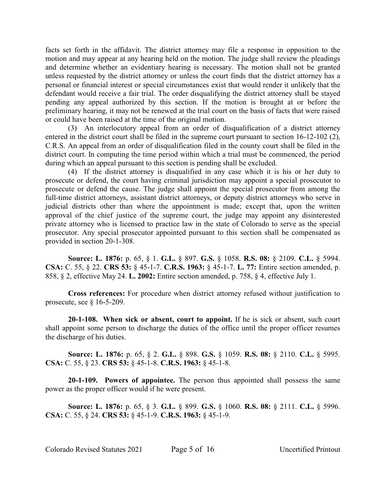facts set forth in the affidavit. The district attorney may file a response in opposition to the motion and may appear at any hearing held on the motion. The judge shall review the pleadings and determine whether an evidentiary hearing is necessary. The motion shall not be granted unless requested by the district attorney or unless the court finds that the district attorney has a personal or financial interest or special circumstances exist that would render it unlikely that the defendant would receive a fair trial. The order disqualifying the district attorney shall be stayed pending any appeal authorized by this section. If the motion is brought at or before the preliminary hearing, it may not be renewed at the trial court on the basis of facts that were raised or could have been raised at the time of the original motion.

(3) An interlocutory appeal from an order of disqualification of a district attorney entered in the district court shall be filed in the supreme court pursuant to section 16-12-102 (2), C.R.S. An appeal from an order of disqualification filed in the county court shall be filed in the district court. In computing the time period within which a trial must be commenced, the period during which an appeal pursuant to this section is pending shall be excluded.

(4) If the district attorney is disqualified in any case which it is his or her duty to prosecute or defend, the court having criminal jurisdiction may appoint a special prosecutor to prosecute or defend the cause. The judge shall appoint the special prosecutor from among the full-time district attorneys, assistant district attorneys, or deputy district attorneys who serve in judicial districts other than where the appointment is made; except that, upon the written approval of the chief justice of the supreme court, the judge may appoint any disinterested private attorney who is licensed to practice law in the state of Colorado to serve as the special prosecutor. Any special prosecutor appointed pursuant to this section shall be compensated as provided in section 20-1-308.

**Source: L. 1876:** p. 65, § 1. **G.L.** § 897. **G.S.** § 1058. **R.S. 08:** § 2109. **C.L.** § 5994. **CSA:** C. 55, § 22. **CRS 53:** § 45-1-7. **C.R.S. 1963:** § 45-1-7. **L. 77:** Entire section amended, p. 858, § 2, effective May 24. **L. 2002:** Entire section amended, p. 758, § 4, effective July 1.

**Cross references:** For procedure when district attorney refused without justification to prosecute, see  $§$  16-5-209.

**20-1-108. When sick or absent, court to appoint.** If he is sick or absent, such court shall appoint some person to discharge the duties of the office until the proper officer resumes the discharge of his duties.

**Source: L. 1876:** p. 65, § 2. **G.L.** § 898. **G.S.** § 1059. **R.S. 08:** § 2110. **C.L.** § 5995. **CSA:** C. 55, § 23. **CRS 53:** § 45-1-8. **C.R.S. 1963:** § 45-1-8.

**20-1-109. Powers of appointee.** The person thus appointed shall possess the same power as the proper officer would if he were present.

**Source: L. 1876:** p. 65, § 3. **G.L.** § 899. **G.S.** § 1060. **R.S. 08:** § 2111. **C.L.** § 5996. **CSA:** C. 55, § 24. **CRS 53:** § 45-1-9. **C.R.S. 1963:** § 45-1-9.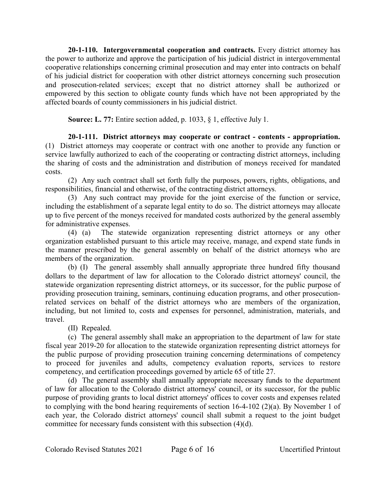**20-1-110. Intergovernmental cooperation and contracts.** Every district attorney has the power to authorize and approve the participation of his judicial district in intergovernmental cooperative relationships concerning criminal prosecution and may enter into contracts on behalf of his judicial district for cooperation with other district attorneys concerning such prosecution and prosecution-related services; except that no district attorney shall be authorized or empowered by this section to obligate county funds which have not been appropriated by the affected boards of county commissioners in his judicial district.

**Source: L. 77:** Entire section added, p. 1033, § 1, effective July 1.

**20-1-111. District attorneys may cooperate or contract - contents - appropriation.** (1) District attorneys may cooperate or contract with one another to provide any function or service lawfully authorized to each of the cooperating or contracting district attorneys, including the sharing of costs and the administration and distribution of moneys received for mandated costs.

(2) Any such contract shall set forth fully the purposes, powers, rights, obligations, and responsibilities, financial and otherwise, of the contracting district attorneys.

(3) Any such contract may provide for the joint exercise of the function or service, including the establishment of a separate legal entity to do so. The district attorneys may allocate up to five percent of the moneys received for mandated costs authorized by the general assembly for administrative expenses.

(4) (a) The statewide organization representing district attorneys or any other organization established pursuant to this article may receive, manage, and expend state funds in the manner prescribed by the general assembly on behalf of the district attorneys who are members of the organization.

(b) (I) The general assembly shall annually appropriate three hundred fifty thousand dollars to the department of law for allocation to the Colorado district attorneys' council, the statewide organization representing district attorneys, or its successor, for the public purpose of providing prosecution training, seminars, continuing education programs, and other prosecutionrelated services on behalf of the district attorneys who are members of the organization, including, but not limited to, costs and expenses for personnel, administration, materials, and travel.

(II) Repealed.

(c) The general assembly shall make an appropriation to the department of law for state fiscal year 2019-20 for allocation to the statewide organization representing district attorneys for the public purpose of providing prosecution training concerning determinations of competency to proceed for juveniles and adults, competency evaluation reports, services to restore competency, and certification proceedings governed by article 65 of title 27.

(d) The general assembly shall annually appropriate necessary funds to the department of law for allocation to the Colorado district attorneys' council, or its successor, for the public purpose of providing grants to local district attorneys' offices to cover costs and expenses related to complying with the bond hearing requirements of section 16-4-102 (2)(a). By November 1 of each year, the Colorado district attorneys' council shall submit a request to the joint budget committee for necessary funds consistent with this subsection (4)(d).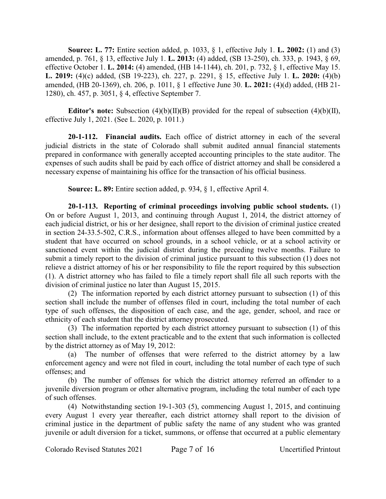**Source: L. 77:** Entire section added, p. 1033, § 1, effective July 1. **L. 2002:** (1) and (3) amended, p. 761, § 13, effective July 1. **L. 2013:** (4) added, (SB 13-250), ch. 333, p. 1943, § 69, effective October 1. **L. 2014:** (4) amended, (HB 14-1144), ch. 201, p. 732, § 1, effective May 15. **L. 2019:** (4)(c) added, (SB 19-223), ch. 227, p. 2291, § 15, effective July 1. **L. 2020:** (4)(b) amended, (HB 20-1369), ch. 206, p. 1011, § 1 effective June 30. **L. 2021:** (4)(d) added, (HB 21- 1280), ch. 457, p. 3051, § 4, effective September 7.

**Editor's note:** Subsection (4)(b)(II)(B) provided for the repeal of subsection (4)(b)(II), effective July 1, 2021. (See L. 2020, p. 1011.)

**20-1-112. Financial audits.** Each office of district attorney in each of the several judicial districts in the state of Colorado shall submit audited annual financial statements prepared in conformance with generally accepted accounting principles to the state auditor. The expenses of such audits shall be paid by each office of district attorney and shall be considered a necessary expense of maintaining his office for the transaction of his official business.

**Source: L. 89:** Entire section added, p. 934, § 1, effective April 4.

**20-1-113. Reporting of criminal proceedings involving public school students.** (1) On or before August 1, 2013, and continuing through August 1, 2014, the district attorney of each judicial district, or his or her designee, shall report to the division of criminal justice created in section 24-33.5-502, C.R.S., information about offenses alleged to have been committed by a student that have occurred on school grounds, in a school vehicle, or at a school activity or sanctioned event within the judicial district during the preceding twelve months. Failure to submit a timely report to the division of criminal justice pursuant to this subsection (1) does not relieve a district attorney of his or her responsibility to file the report required by this subsection (1). A district attorney who has failed to file a timely report shall file all such reports with the division of criminal justice no later than August 15, 2015.

(2) The information reported by each district attorney pursuant to subsection (1) of this section shall include the number of offenses filed in court, including the total number of each type of such offenses, the disposition of each case, and the age, gender, school, and race or ethnicity of each student that the district attorney prosecuted.

(3) The information reported by each district attorney pursuant to subsection (1) of this section shall include, to the extent practicable and to the extent that such information is collected by the district attorney as of May 19, 2012:

(a) The number of offenses that were referred to the district attorney by a law enforcement agency and were not filed in court, including the total number of each type of such offenses; and

(b) The number of offenses for which the district attorney referred an offender to a juvenile diversion program or other alternative program, including the total number of each type of such offenses.

(4) Notwithstanding section 19-1-303 (5), commencing August 1, 2015, and continuing every August 1 every year thereafter, each district attorney shall report to the division of criminal justice in the department of public safety the name of any student who was granted juvenile or adult diversion for a ticket, summons, or offense that occurred at a public elementary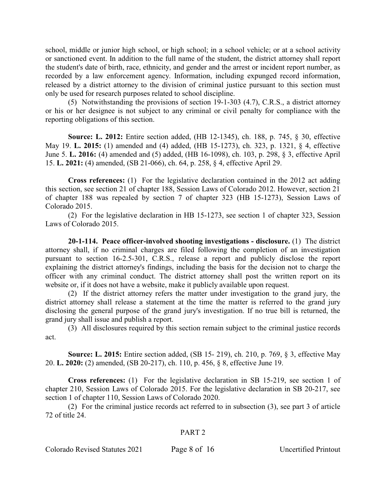school, middle or junior high school, or high school; in a school vehicle; or at a school activity or sanctioned event. In addition to the full name of the student, the district attorney shall report the student's date of birth, race, ethnicity, and gender and the arrest or incident report number, as recorded by a law enforcement agency. Information, including expunged record information, released by a district attorney to the division of criminal justice pursuant to this section must only be used for research purposes related to school discipline.

(5) Notwithstanding the provisions of section 19-1-303 (4.7), C.R.S., a district attorney or his or her designee is not subject to any criminal or civil penalty for compliance with the reporting obligations of this section.

**Source: L. 2012:** Entire section added, (HB 12-1345), ch. 188, p. 745, § 30, effective May 19. **L. 2015:** (1) amended and (4) added, (HB 15-1273), ch. 323, p. 1321, § 4, effective June 5. **L. 2016:** (4) amended and (5) added, (HB 16-1098), ch. 103, p. 298, § 3, effective April 15. **L. 2021:** (4) amended, (SB 21-066), ch. 64, p. 258, § 4, effective April 29.

**Cross references:** (1) For the legislative declaration contained in the 2012 act adding this section, see section 21 of chapter 188, Session Laws of Colorado 2012. However, section 21 of chapter 188 was repealed by section 7 of chapter 323 (HB 15-1273), Session Laws of Colorado 2015.

(2) For the legislative declaration in HB 15-1273, see section 1 of chapter 323, Session Laws of Colorado 2015.

**20-1-114. Peace officer-involved shooting investigations - disclosure.** (1) The district attorney shall, if no criminal charges are filed following the completion of an investigation pursuant to section 16-2.5-301, C.R.S., release a report and publicly disclose the report explaining the district attorney's findings, including the basis for the decision not to charge the officer with any criminal conduct. The district attorney shall post the written report on its website or, if it does not have a website, make it publicly available upon request.

(2) If the district attorney refers the matter under investigation to the grand jury, the district attorney shall release a statement at the time the matter is referred to the grand jury disclosing the general purpose of the grand jury's investigation. If no true bill is returned, the grand jury shall issue and publish a report.

(3) All disclosures required by this section remain subject to the criminal justice records act.

**Source: L. 2015:** Entire section added, (SB 15- 219), ch. 210, p. 769, § 3, effective May 20. **L. 2020:** (2) amended, (SB 20-217), ch. 110, p. 456, § 8, effective June 19.

**Cross references:** (1) For the legislative declaration in SB 15-219, see section 1 of chapter 210, Session Laws of Colorado 2015. For the legislative declaration in SB 20-217, see section 1 of chapter 110, Session Laws of Colorado 2020.

(2) For the criminal justice records act referred to in subsection (3), see part 3 of article 72 of title 24.

## PART 2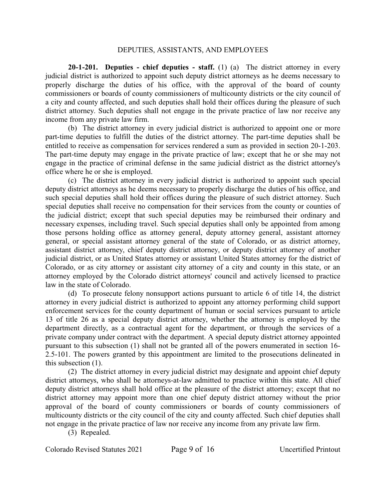#### DEPUTIES, ASSISTANTS, AND EMPLOYEES

**20-1-201. Deputies - chief deputies - staff.** (1) (a) The district attorney in every judicial district is authorized to appoint such deputy district attorneys as he deems necessary to properly discharge the duties of his office, with the approval of the board of county commissioners or boards of county commissioners of multicounty districts or the city council of a city and county affected, and such deputies shall hold their offices during the pleasure of such district attorney. Such deputies shall not engage in the private practice of law nor receive any income from any private law firm.

(b) The district attorney in every judicial district is authorized to appoint one or more part-time deputies to fulfill the duties of the district attorney. The part-time deputies shall be entitled to receive as compensation for services rendered a sum as provided in section 20-1-203. The part-time deputy may engage in the private practice of law; except that he or she may not engage in the practice of criminal defense in the same judicial district as the district attorney's office where he or she is employed.

(c) The district attorney in every judicial district is authorized to appoint such special deputy district attorneys as he deems necessary to properly discharge the duties of his office, and such special deputies shall hold their offices during the pleasure of such district attorney. Such special deputies shall receive no compensation for their services from the county or counties of the judicial district; except that such special deputies may be reimbursed their ordinary and necessary expenses, including travel. Such special deputies shall only be appointed from among those persons holding office as attorney general, deputy attorney general, assistant attorney general, or special assistant attorney general of the state of Colorado, or as district attorney, assistant district attorney, chief deputy district attorney, or deputy district attorney of another judicial district, or as United States attorney or assistant United States attorney for the district of Colorado, or as city attorney or assistant city attorney of a city and county in this state, or an attorney employed by the Colorado district attorneys' council and actively licensed to practice law in the state of Colorado.

(d) To prosecute felony nonsupport actions pursuant to article 6 of title 14, the district attorney in every judicial district is authorized to appoint any attorney performing child support enforcement services for the county department of human or social services pursuant to article 13 of title 26 as a special deputy district attorney, whether the attorney is employed by the department directly, as a contractual agent for the department, or through the services of a private company under contract with the department. A special deputy district attorney appointed pursuant to this subsection (1) shall not be granted all of the powers enumerated in section 16- 2.5-101. The powers granted by this appointment are limited to the prosecutions delineated in this subsection (1).

(2) The district attorney in every judicial district may designate and appoint chief deputy district attorneys, who shall be attorneys-at-law admitted to practice within this state. All chief deputy district attorneys shall hold office at the pleasure of the district attorney; except that no district attorney may appoint more than one chief deputy district attorney without the prior approval of the board of county commissioners or boards of county commissioners of multicounty districts or the city council of the city and county affected. Such chief deputies shall not engage in the private practice of law nor receive any income from any private law firm.

(3) Repealed.

Colorado Revised Statutes 2021 Page 9 of 16 Uncertified Printout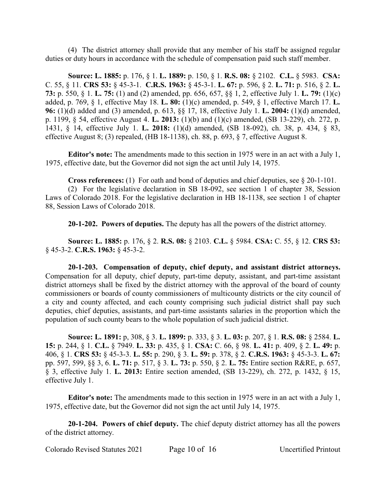(4) The district attorney shall provide that any member of his staff be assigned regular duties or duty hours in accordance with the schedule of compensation paid such staff member.

**Source: L. 1885:** p. 176, § 1. **L. 1889:** p. 150, § 1. **R.S. 08:** § 2102. **C.L.** § 5983. **CSA:** C. 55, § 11. **CRS 53:** § 45-3-1. **C.R.S. 1963:** § 45-3-1. **L. 67:** p. 596, § 2. **L. 71:** p. 516, § 2. **L. 73:** p. 550, § 1. **L. 75:** (1) and (2) amended, pp. 656, 657, §§ 1, 2, effective July 1. **L. 79:** (1)(c) added, p. 769, § 1, effective May 18. **L. 80:** (1)(c) amended, p. 549, § 1, effective March 17. **L. 96:** (1)(d) added and (3) amended, p. 613, §§ 17, 18, effective July 1. **L. 2004:** (1)(d) amended, p. 1199, § 54, effective August 4. **L. 2013:** (1)(b) and (1)(c) amended, (SB 13-229), ch. 272, p. 1431, § 14, effective July 1. **L. 2018:** (1)(d) amended, (SB 18-092), ch. 38, p. 434, § 83, effective August 8; (3) repealed, (HB 18-1138), ch. 88, p. 693, § 7, effective August 8.

**Editor's note:** The amendments made to this section in 1975 were in an act with a July 1, 1975, effective date, but the Governor did not sign the act until July 14, 1975.

**Cross references:** (1) For oath and bond of deputies and chief deputies, see § 20-1-101.

(2) For the legislative declaration in SB 18-092, see section 1 of chapter 38, Session Laws of Colorado 2018. For the legislative declaration in HB 18-1138, see section 1 of chapter 88, Session Laws of Colorado 2018.

**20-1-202. Powers of deputies.** The deputy has all the powers of the district attorney.

**Source: L. 1885:** p. 176, § 2. **R.S. 08:** § 2103. **C.L.** § 5984. **CSA:** C. 55, § 12. **CRS 53:** § 45-3-2. **C.R.S. 1963:** § 45-3-2.

**20-1-203. Compensation of deputy, chief deputy, and assistant district attorneys.** Compensation for all deputy, chief deputy, part-time deputy, assistant, and part-time assistant district attorneys shall be fixed by the district attorney with the approval of the board of county commissioners or boards of county commissioners of multicounty districts or the city council of a city and county affected, and each county comprising such judicial district shall pay such deputies, chief deputies, assistants, and part-time assistants salaries in the proportion which the population of such county bears to the whole population of such judicial district.

**Source: L. 1891:** p, 308, § 3. **L. 1899:** p. 333, § 3. **L. 03:** p. 207, § 1. **R.S. 08:** § 2584. **L. 15:** p. 244, § 1. **C.L.** § 7949. **L. 33:** p. 435, § 1. **CSA:** C. 66, § 98. **L. 41:** p. 409, § 2. **L. 49:** p. 406, § 1. **CRS 53:** § 45-3-3. **L. 55:** p. 290, § 3. **L. 59:** p. 378, § 2. **C.R.S. 1963:** § 45-3-3. **L. 67:** pp. 597, 599, §§ 3, 6. **L. 71:** p. 517, § 3. **L. 73:** p. 550, § 2. **L. 75:** Entire section R&RE, p. 657, § 3, effective July 1. **L. 2013:** Entire section amended, (SB 13-229), ch. 272, p. 1432, § 15, effective July 1.

**Editor's note:** The amendments made to this section in 1975 were in an act with a July 1, 1975, effective date, but the Governor did not sign the act until July 14, 1975.

**20-1-204. Powers of chief deputy.** The chief deputy district attorney has all the powers of the district attorney.

Colorado Revised Statutes 2021 Page 10 of 16 Uncertified Printout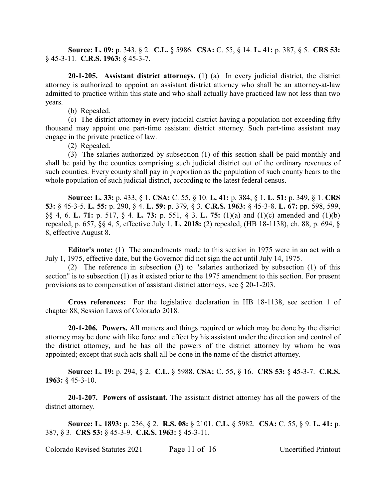**Source: L. 09:** p. 343, § 2. **C.L.** § 5986. **CSA:** C. 55, § 14. **L. 41:** p. 387, § 5. **CRS 53:** § 45-3-11. **C.R.S. 1963:** § 45-3-7.

**20-1-205. Assistant district attorneys.** (1) (a) In every judicial district, the district attorney is authorized to appoint an assistant district attorney who shall be an attorney-at-law admitted to practice within this state and who shall actually have practiced law not less than two years.

(b) Repealed.

(c) The district attorney in every judicial district having a population not exceeding fifty thousand may appoint one part-time assistant district attorney. Such part-time assistant may engage in the private practice of law.

(2) Repealed.

(3) The salaries authorized by subsection (1) of this section shall be paid monthly and shall be paid by the counties comprising such judicial district out of the ordinary revenues of such counties. Every county shall pay in proportion as the population of such county bears to the whole population of such judicial district, according to the latest federal census.

**Source: L. 33:** p. 433, § 1. **CSA:** C. 55, § 10. **L. 41:** p. 384, § 1. **L. 51:** p. 349, § 1. **CRS 53:** § 45-3-5. **L. 55:** p. 290, § 4. **L. 59:** p. 379, § 3. **C.R.S. 1963:** § 45-3-8. **L. 67:** pp. 598, 599, §§ 4, 6. **L. 71:** p. 517, § 4. **L. 73:** p. 551, § 3. **L. 75:** (1)(a) and (1)(c) amended and (1)(b) repealed, p. 657, §§ 4, 5, effective July 1. **L. 2018:** (2) repealed, (HB 18-1138), ch. 88, p. 694, § 8, effective August 8.

**Editor's note:** (1) The amendments made to this section in 1975 were in an act with a July 1, 1975, effective date, but the Governor did not sign the act until July 14, 1975.

(2) The reference in subsection (3) to "salaries authorized by subsection (1) of this section" is to subsection (1) as it existed prior to the 1975 amendment to this section. For present provisions as to compensation of assistant district attorneys, see § 20-1-203.

**Cross references:** For the legislative declaration in HB 18-1138, see section 1 of chapter 88, Session Laws of Colorado 2018.

**20-1-206. Powers.** All matters and things required or which may be done by the district attorney may be done with like force and effect by his assistant under the direction and control of the district attorney, and he has all the powers of the district attorney by whom he was appointed; except that such acts shall all be done in the name of the district attorney.

**Source: L. 19:** p. 294, § 2. **C.L.** § 5988. **CSA:** C. 55, § 16. **CRS 53:** § 45-3-7. **C.R.S. 1963:** § 45-3-10.

**20-1-207. Powers of assistant.** The assistant district attorney has all the powers of the district attorney.

**Source: L. 1893:** p. 236, § 2. **R.S. 08:** § 2101. **C.L.** § 5982. **CSA:** C. 55, § 9. **L. 41:** p. 387, § 3. **CRS 53:** § 45-3-9. **C.R.S. 1963:** § 45-3-11.

Colorado Revised Statutes 2021 Page 11 of 16 Uncertified Printout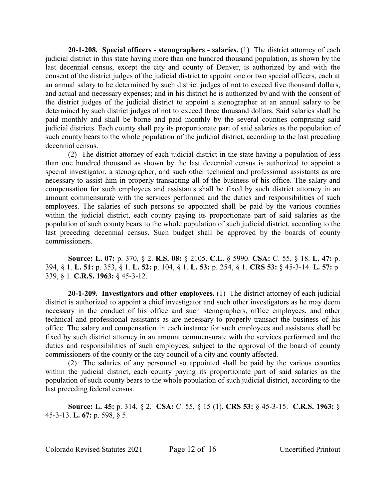**20-1-208. Special officers - stenographers - salaries.** (1) The district attorney of each judicial district in this state having more than one hundred thousand population, as shown by the last decennial census, except the city and county of Denver, is authorized by and with the consent of the district judges of the judicial district to appoint one or two special officers, each at an annual salary to be determined by such district judges of not to exceed five thousand dollars, and actual and necessary expenses; and in his district he is authorized by and with the consent of the district judges of the judicial district to appoint a stenographer at an annual salary to be determined by such district judges of not to exceed three thousand dollars. Said salaries shall be paid monthly and shall be borne and paid monthly by the several counties comprising said judicial districts. Each county shall pay its proportionate part of said salaries as the population of such county bears to the whole population of the judicial district, according to the last preceding decennial census.

(2) The district attorney of each judicial district in the state having a population of less than one hundred thousand as shown by the last decennial census is authorized to appoint a special investigator, a stenographer, and such other technical and professional assistants as are necessary to assist him in properly transacting all of the business of his office. The salary and compensation for such employees and assistants shall be fixed by such district attorney in an amount commensurate with the services performed and the duties and responsibilities of such employees. The salaries of such persons so appointed shall be paid by the various counties within the judicial district, each county paying its proportionate part of said salaries as the population of such county bears to the whole population of such judicial district, according to the last preceding decennial census. Such budget shall be approved by the boards of county commissioners.

**Source: L. 07:** p. 370, § 2. **R.S. 08:** § 2105. **C.L.** § 5990. **CSA:** C. 55, § 18. **L. 47:** p. 394, § 1. **L. 51:** p. 353, § 1. **L. 52:** p. 104, § 1. **L. 53:** p. 254, § 1. **CRS 53:** § 45-3-14. **L. 57:** p. 339, § 1. **C.R.S. 1963:** § 45-3-12.

**20-1-209. Investigators and other employees.** (1) The district attorney of each judicial district is authorized to appoint a chief investigator and such other investigators as he may deem necessary in the conduct of his office and such stenographers, office employees, and other technical and professional assistants as are necessary to properly transact the business of his office. The salary and compensation in each instance for such employees and assistants shall be fixed by such district attorney in an amount commensurate with the services performed and the duties and responsibilities of such employees, subject to the approval of the board of county commissioners of the county or the city council of a city and county affected.

(2) The salaries of any personnel so appointed shall be paid by the various counties within the judicial district, each county paying its proportionate part of said salaries as the population of such county bears to the whole population of such judicial district, according to the last preceding federal census.

**Source: L. 45:** p. 314, § 2. **CSA:** C. 55, § 15 (1). **CRS 53:** § 45-3-15. **C.R.S. 1963:** § 45-3-13. **L. 67:** p. 598, § 5.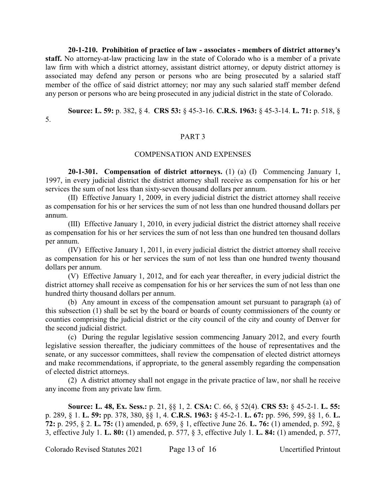**20-1-210. Prohibition of practice of law - associates - members of district attorney's staff.** No attorney-at-law practicing law in the state of Colorado who is a member of a private law firm with which a district attorney, assistant district attorney, or deputy district attorney is associated may defend any person or persons who are being prosecuted by a salaried staff member of the office of said district attorney; nor may any such salaried staff member defend any person or persons who are being prosecuted in any judicial district in the state of Colorado.

**Source: L. 59:** p. 382, § 4. **CRS 53:** § 45-3-16. **C.R.S. 1963:** § 45-3-14. **L. 71:** p. 518, § 5.

## PART 3

#### COMPENSATION AND EXPENSES

**20-1-301. Compensation of district attorneys.** (1) (a) (I) Commencing January 1, 1997, in every judicial district the district attorney shall receive as compensation for his or her services the sum of not less than sixty-seven thousand dollars per annum.

(II) Effective January 1, 2009, in every judicial district the district attorney shall receive as compensation for his or her services the sum of not less than one hundred thousand dollars per annum.

(III) Effective January 1, 2010, in every judicial district the district attorney shall receive as compensation for his or her services the sum of not less than one hundred ten thousand dollars per annum.

(IV) Effective January 1, 2011, in every judicial district the district attorney shall receive as compensation for his or her services the sum of not less than one hundred twenty thousand dollars per annum.

(V) Effective January 1, 2012, and for each year thereafter, in every judicial district the district attorney shall receive as compensation for his or her services the sum of not less than one hundred thirty thousand dollars per annum.

(b) Any amount in excess of the compensation amount set pursuant to paragraph (a) of this subsection (1) shall be set by the board or boards of county commissioners of the county or counties comprising the judicial district or the city council of the city and county of Denver for the second judicial district.

(c) During the regular legislative session commencing January 2012, and every fourth legislative session thereafter, the judiciary committees of the house of representatives and the senate, or any successor committees, shall review the compensation of elected district attorneys and make recommendations, if appropriate, to the general assembly regarding the compensation of elected district attorneys.

(2) A district attorney shall not engage in the private practice of law, nor shall he receive any income from any private law firm.

**Source: L. 48, Ex. Sess.:** p. 21, §§ 1, 2. **CSA:** C. 66, § 52(4). **CRS 53:** § 45-2-1. **L. 55:** p. 289, § 1. **L. 59:** pp. 378, 380, §§ 1, 4. **C.R.S. 1963:** § 45-2-1. **L. 67:** pp. 596, 599, §§ 1, 6. **L. 72:** p. 295, § 2. **L. 75:** (1) amended, p. 659, § 1, effective June 26. **L. 76:** (1) amended, p. 592, § 3, effective July 1. **L. 80:** (1) amended, p. 577, § 3, effective July 1. **L. 84:** (1) amended, p. 577,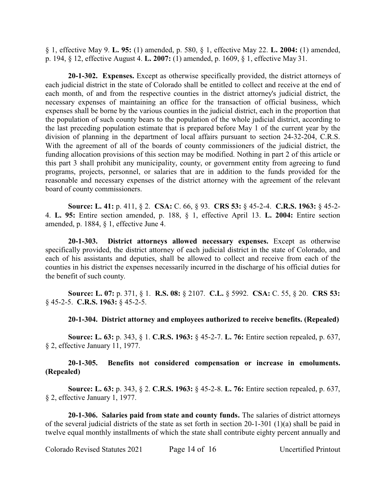§ 1, effective May 9. **L. 95:** (1) amended, p. 580, § 1, effective May 22. **L. 2004:** (1) amended, p. 194, § 12, effective August 4. **L. 2007:** (1) amended, p. 1609, § 1, effective May 31.

**20-1-302. Expenses.** Except as otherwise specifically provided, the district attorneys of each judicial district in the state of Colorado shall be entitled to collect and receive at the end of each month, of and from the respective counties in the district attorney's judicial district, the necessary expenses of maintaining an office for the transaction of official business, which expenses shall be borne by the various counties in the judicial district, each in the proportion that the population of such county bears to the population of the whole judicial district, according to the last preceding population estimate that is prepared before May 1 of the current year by the division of planning in the department of local affairs pursuant to section 24-32-204, C.R.S. With the agreement of all of the boards of county commissioners of the judicial district, the funding allocation provisions of this section may be modified. Nothing in part 2 of this article or this part 3 shall prohibit any municipality, county, or government entity from agreeing to fund programs, projects, personnel, or salaries that are in addition to the funds provided for the reasonable and necessary expenses of the district attorney with the agreement of the relevant board of county commissioners.

**Source: L. 41:** p. 411, § 2. **CSA:** C. 66, § 93. **CRS 53:** § 45-2-4. **C.R.S. 1963:** § 45-2- 4. **L. 95:** Entire section amended, p. 188, § 1, effective April 13. **L. 2004:** Entire section amended, p. 1884, § 1, effective June 4.

**20-1-303. District attorneys allowed necessary expenses.** Except as otherwise specifically provided, the district attorney of each judicial district in the state of Colorado, and each of his assistants and deputies, shall be allowed to collect and receive from each of the counties in his district the expenses necessarily incurred in the discharge of his official duties for the benefit of such county.

**Source: L. 07:** p. 371, § 1. **R.S. 08:** § 2107. **C.L.** § 5992. **CSA:** C. 55, § 20. **CRS 53:** § 45-2-5. **C.R.S. 1963:** § 45-2-5.

**20-1-304. District attorney and employees authorized to receive benefits. (Repealed)**

**Source: L. 63:** p. 343, § 1. **C.R.S. 1963:** § 45-2-7. **L. 76:** Entire section repealed, p. 637, § 2, effective January 11, 1977.

## **20-1-305. Benefits not considered compensation or increase in emoluments. (Repealed)**

**Source: L. 63:** p. 343, § 2. **C.R.S. 1963:** § 45-2-8. **L. 76:** Entire section repealed, p. 637, § 2, effective January 1, 1977.

**20-1-306. Salaries paid from state and county funds.** The salaries of district attorneys of the several judicial districts of the state as set forth in section 20-1-301 (1)(a) shall be paid in twelve equal monthly installments of which the state shall contribute eighty percent annually and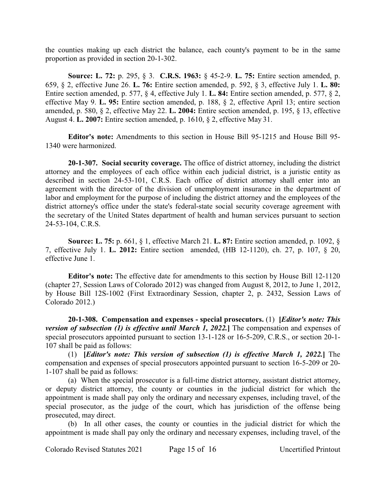the counties making up each district the balance, each county's payment to be in the same proportion as provided in section 20-1-302.

**Source: L. 72:** p. 295, § 3. **C.R.S. 1963:** § 45-2-9. **L. 75:** Entire section amended, p. 659, § 2, effective June 26. **L. 76:** Entire section amended, p. 592, § 3, effective July 1. **L. 80:** Entire section amended, p. 577, § 4, effective July 1. **L. 84:** Entire section amended, p. 577, § 2, effective May 9. **L. 95:** Entire section amended, p. 188, § 2, effective April 13; entire section amended, p. 580, § 2, effective May 22. **L. 2004:** Entire section amended, p. 195, § 13, effective August 4. **L. 2007:** Entire section amended, p. 1610, § 2, effective May 31.

**Editor's note:** Amendments to this section in House Bill 95-1215 and House Bill 95- 1340 were harmonized.

**20-1-307. Social security coverage.** The office of district attorney, including the district attorney and the employees of each office within each judicial district, is a juristic entity as described in section 24-53-101, C.R.S. Each office of district attorney shall enter into an agreement with the director of the division of unemployment insurance in the department of labor and employment for the purpose of including the district attorney and the employees of the district attorney's office under the state's federal-state social security coverage agreement with the secretary of the United States department of health and human services pursuant to section 24-53-104, C.R.S.

**Source: L. 75:** p. 661, § 1, effective March 21. **L. 87:** Entire section amended, p. 1092, § 7, effective July 1. **L. 2012:** Entire section amended, (HB 12-1120), ch. 27, p. 107, § 20, effective June 1.

**Editor's note:** The effective date for amendments to this section by House Bill 12-1120 (chapter 27, Session Laws of Colorado 2012) was changed from August 8, 2012, to June 1, 2012, by House Bill 12S-1002 (First Extraordinary Session, chapter 2, p. 2432, Session Laws of Colorado 2012.)

**20-1-308. Compensation and expenses - special prosecutors.** (1) **[***Editor's note: This version of subsection (1) is effective until March 1, 2022.***]** The compensation and expenses of special prosecutors appointed pursuant to section 13-1-128 or 16-5-209, C.R.S., or section 20-1- 107 shall be paid as follows:

(1) **[***Editor's note: This version of subsection (1) is effective March 1, 2022.***]** The compensation and expenses of special prosecutors appointed pursuant to section 16-5-209 or 20- 1-107 shall be paid as follows:

(a) When the special prosecutor is a full-time district attorney, assistant district attorney, or deputy district attorney, the county or counties in the judicial district for which the appointment is made shall pay only the ordinary and necessary expenses, including travel, of the special prosecutor, as the judge of the court, which has jurisdiction of the offense being prosecuted, may direct.

(b) In all other cases, the county or counties in the judicial district for which the appointment is made shall pay only the ordinary and necessary expenses, including travel, of the

Colorado Revised Statutes 2021 Page 15 of 16 Uncertified Printout